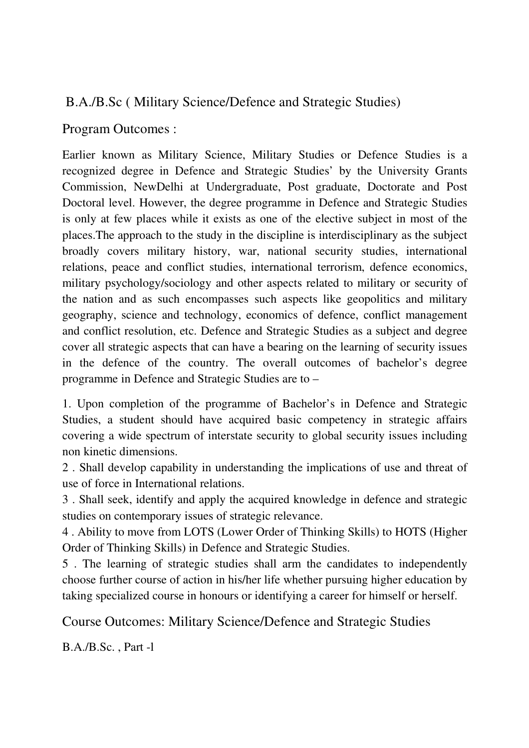# B.A./B.Sc ( Military Science/Defence and Strategic Studies)

## Program Outcomes :

Earlier known as Military Science, Military Studies or Defence Studies is a recognized degree in Defence and Strategic Studies' by the University Grants Commission, NewDelhi at Undergraduate, Post graduate, Doctorate and Post Doctoral level. However, the degree programme in Defence and Strategic Studies is only at few places while it exists as one of the elective subject in most of the places.The approach to the study in the discipline is interdisciplinary as the subject broadly covers military history, war, national security studies, international relations, peace and conflict studies, international terrorism, defence economics, military psychology/sociology and other aspects related to military or security of the nation and as such encompasses such aspects like geopolitics and military geography, science and technology, economics of defence, conflict management and conflict resolution, etc. Defence and Strategic Studies as a subject and degree cover all strategic aspects that can have a bearing on the learning of security issues in the defence of the country. The overall outcomes of bachelor's degree programme in Defence and Strategic Studies are to –

1. Upon completion of the programme of Bachelor's in Defence and Strategic Studies, a student should have acquired basic competency in strategic affairs covering a wide spectrum of interstate security to global security issues including non kinetic dimensions.

2 . Shall develop capability in understanding the implications of use and threat of use of force in International relations.

3 . Shall seek, identify and apply the acquired knowledge in defence and strategic studies on contemporary issues of strategic relevance.

4 . Ability to move from LOTS (Lower Order of Thinking Skills) to HOTS (Higher Order of Thinking Skills) in Defence and Strategic Studies.

5 . The learning of strategic studies shall arm the candidates to independently choose further course of action in his/her life whether pursuing higher education by taking specialized course in honours or identifying a career for himself or herself.

Course Outcomes: Military Science/Defence and Strategic Studies

B.A./B.Sc. , Part -l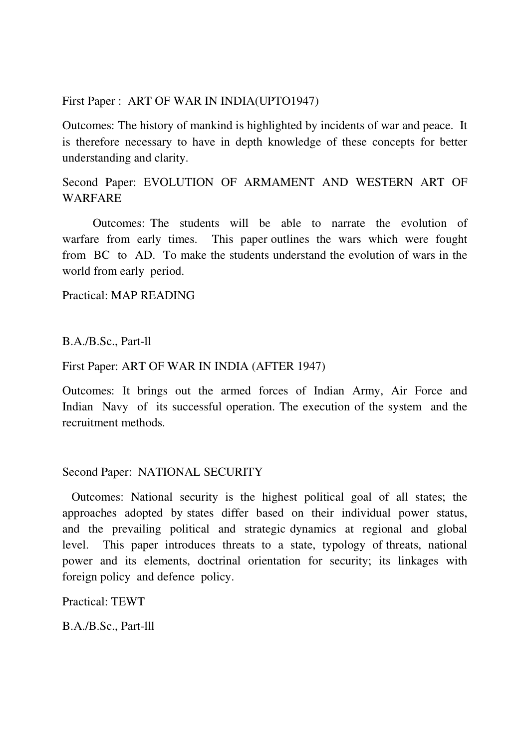First Paper : ART OF WAR IN INDIA(UPTO1947)

Outcomes: The history of mankind is highlighted by incidents of war and peace. It is therefore necessary to have in depth knowledge of these concepts for better understanding and clarity.

## Second Paper: EVOLUTION OF ARMAMENT AND WESTERN ART OF WARFARE

 Outcomes: The students will be able to narrate the evolution of warfare from early times. This paper outlines the wars which were fought from BC to AD. To make the students understand the evolution of wars in the world from early period.

Practical: MAP READING

B.A./B.Sc., Part-ll

First Paper: ART OF WAR IN INDIA (AFTER 1947)

Outcomes: It brings out the armed forces of Indian Army, Air Force and Indian Navy of its successful operation. The execution of the system and the recruitment methods.

#### Second Paper: NATIONAL SECURITY

 Outcomes: National security is the highest political goal of all states; the approaches adopted by states differ based on their individual power status, and the prevailing political and strategic dynamics at regional and global level. This paper introduces threats to a state, typology of threats, national power and its elements, doctrinal orientation for security; its linkages with foreign policy and defence policy.

Practical: TEWT

B.A./B.Sc., Part-lll